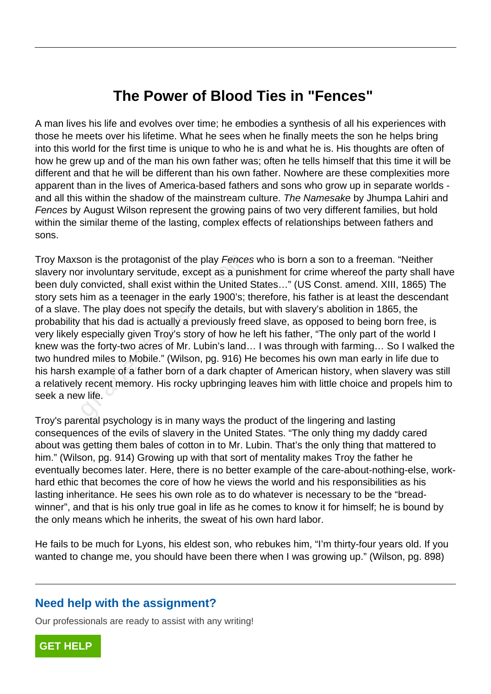# **The Power of Blood Ties in "Fences"**

A man lives his life and evolves over time; he embodies a synthesis of all his experiences with those he meets over his lifetime. What he sees when he finally meets the son he helps bring into this world for the first time is unique to who he is and what he is. His thoughts are often of how he grew up and of the man his own father was; often he tells himself that this time it will be different and that he will be different than his own father. Nowhere are these complexities more apparent than in the lives of America-based fathers and sons who grow up in separate worlds and all this within the shadow of the mainstream culture. The Namesake by Jhumpa Lahiri and Fences by August Wilson represent the growing pains of two very different families, but hold within the similar theme of the lasting, complex effects of relationships between fathers and sons.

Troy Maxson is the protagonist of the play Fences who is born a son to a freeman. "Neither slavery nor involuntary servitude, except as a punishment for crime whereof the party shall have been duly convicted, shall exist within the United States…" (US Const. amend. XIII, 1865) The story sets him as a teenager in the early 1900's; therefore, his father is at least the descendant of a slave. The play does not specify the details, but with slavery's abolition in 1865, the probability that his dad is actually a previously freed slave, as opposed to being born free, is very likely especially given Troy's story of how he left his father, "The only part of the world I knew was the forty-two acres of Mr. Lubin's land… I was through with farming… So I walked the two hundred miles to Mobile." (Wilson, pg. 916) He becomes his own man early in life due to his harsh example of a father born of a dark chapter of American history, when slavery was still a relatively recent memory. His rocky upbringing leaves him with little choice and propels him to seek a new life. ion is the protagonist of the play *Fence*<br>r involuntary servitude, except as a pur<br>convicted, shall exist within the United<br>him as a teenager in the early 1900's;<br>The play does not specify the details,<br>that his dad is act

Troy's parental psychology is in many ways the product of the lingering and lasting consequences of the evils of slavery in the United States. "The only thing my daddy cared about was getting them bales of cotton in to Mr. Lubin. That's the only thing that mattered to him." (Wilson, pg. 914) Growing up with that sort of mentality makes Troy the father he eventually becomes later. Here, there is no better example of the care-about-nothing-else, workhard ethic that becomes the core of how he views the world and his responsibilities as his lasting inheritance. He sees his own role as to do whatever is necessary to be the "breadwinner", and that is his only true goal in life as he comes to know it for himself; he is bound by the only means which he inherits, the sweat of his own hard labor.

He fails to be much for Lyons, his eldest son, who rebukes him, "I'm thirty-four years old. If you wanted to change me, you should have been there when I was growing up." (Wilson, pg. 898)

### **Need help with the assignment?**

Our professionals are ready to assist with any writing!

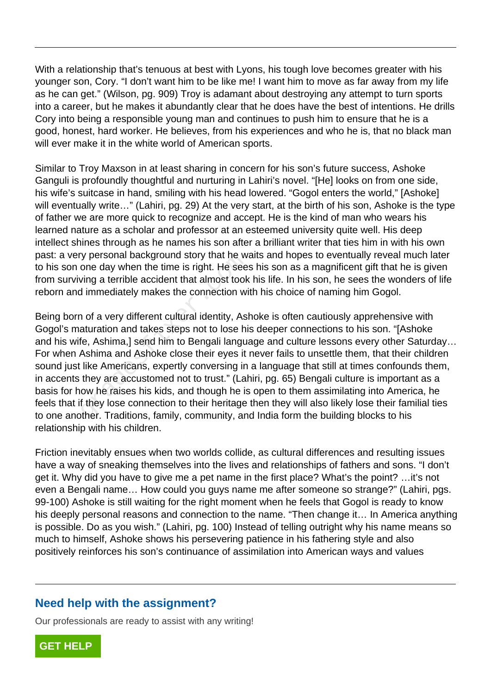With a relationship that's tenuous at best with Lyons, his tough love becomes greater with his younger son, Cory. "I don't want him to be like me! I want him to move as far away from my life as he can get." (Wilson, pg. 909) Troy is adamant about destroying any attempt to turn sports into a career, but he makes it abundantly clear that he does have the best of intentions. He drills Cory into being a responsible young man and continues to push him to ensure that he is a good, honest, hard worker. He believes, from his experiences and who he is, that no black man will ever make it in the white world of American sports.

Similar to Troy Maxson in at least sharing in concern for his son's future success, Ashoke Ganguli is profoundly thoughtful and nurturing in Lahiri's novel. "[He] looks on from one side, his wife's suitcase in hand, smiling with his head lowered. "Gogol enters the world," [Ashoke] will eventually write..." (Lahiri, pg. 29) At the very start, at the birth of his son, Ashoke is the type of father we are more quick to recognize and accept. He is the kind of man who wears his learned nature as a scholar and professor at an esteemed university quite well. His deep intellect shines through as he names his son after a brilliant writer that ties him in with his own past: a very personal background story that he waits and hopes to eventually reveal much later to his son one day when the time is right. He sees his son as a magnificent gift that he is given from surviving a terrible accident that almost took his life. In his son, he sees the wonders of life reborn and immediately makes the connection with his choice of naming him Gogol.

Being born of a very different cultural identity, Ashoke is often cautiously apprehensive with Gogol's maturation and takes steps not to lose his deeper connections to his son. "[Ashoke and his wife, Ashima,] send him to Bengali language and culture lessons every other Saturday... For when Ashima and Ashoke close their eyes it never fails to unsettle them, that their children sound just like Americans, expertly conversing in a language that still at times confounds them, in accents they are accustomed not to trust." (Lahiri, pg. 65) Bengali culture is important as a basis for how he raises his kids, and though he is open to them assimilating into America, he feels that if they lose connection to their heritage then they will also likely lose their familial ties to one another. Traditions, family, community, and India form the building blocks to his relationship with his children. y personal background story that he w<br>one day when the time is right. He see<br>ving a terrible accident that almost took<br>i immediately makes the connection wi<br>n of a very different cultural identity, As<br>aturation and takes s

Friction inevitably ensues when two worlds collide, as cultural differences and resulting issues have a way of sneaking themselves into the lives and relationships of fathers and sons. "I don't get it. Why did you have to give me a pet name in the first place? What's the point? …it's not even a Bengali name… How could you guys name me after someone so strange?" (Lahiri, pgs. 99-100) Ashoke is still waiting for the right moment when he feels that Gogol is ready to know his deeply personal reasons and connection to the name. "Then change it… In America anything is possible. Do as you wish." (Lahiri, pg. 100) Instead of telling outright why his name means so much to himself, Ashoke shows his persevering patience in his fathering style and also positively reinforces his son's continuance of assimilation into American ways and values

## **Need help with the assignment?**

Our professionals are ready to assist with any writing!

**[GET HELP](https://my.gradesfixer.com/order?utm_campaign=pdf_sample)**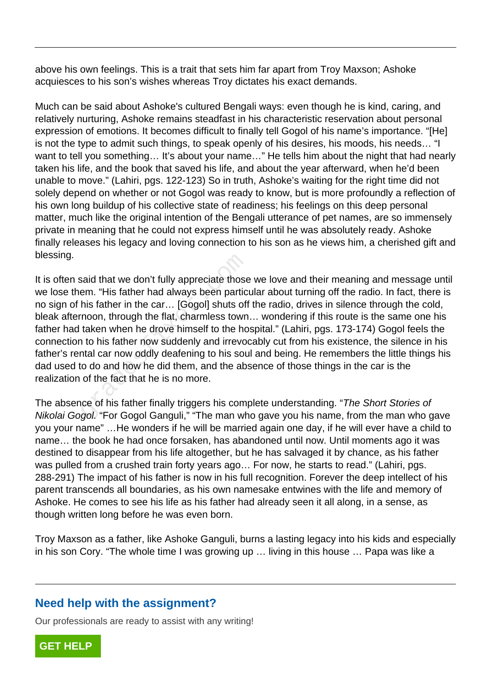above his own feelings. This is a trait that sets him far apart from Troy Maxson; Ashoke acquiesces to his son's wishes whereas Troy dictates his exact demands.

Much can be said about Ashoke's cultured Bengali ways: even though he is kind, caring, and relatively nurturing, Ashoke remains steadfast in his characteristic reservation about personal expression of emotions. It becomes difficult to finally tell Gogol of his name's importance. "[He] is not the type to admit such things, to speak openly of his desires, his moods, his needs… "I want to tell you something... It's about your name..." He tells him about the night that had nearly taken his life, and the book that saved his life, and about the year afterward, when he'd been unable to move." (Lahiri, pgs. 122-123) So in truth, Ashoke's waiting for the right time did not solely depend on whether or not Gogol was ready to know, but is more profoundly a reflection of his own long buildup of his collective state of readiness; his feelings on this deep personal matter, much like the original intention of the Bengali utterance of pet names, are so immensely private in meaning that he could not express himself until he was absolutely ready. Ashoke finally releases his legacy and loving connection to his son as he views him, a cherished gift and blessing.

It is often said that we don't fully appreciate those we love and their meaning and message until we lose them. "His father had always been particular about turning off the radio. In fact, there is no sign of his father in the car… [Gogol] shuts off the radio, drives in silence through the cold, bleak afternoon, through the flat, charmless town… wondering if this route is the same one his father had taken when he drove himself to the hospital." (Lahiri, pgs. 173-174) Gogol feels the connection to his father now suddenly and irrevocably cut from his existence, the silence in his father's rental car now oddly deafening to his soul and being. He remembers the little things his dad used to do and how he did them, and the absence of those things in the car is the realization of the fact that he is no more. said that we don't fully appreciate those<br>em. "His father had always been partic<br>his father in the car... [Gogol] shuts off<br>noon, through the flat, charmless town<br>taken when he drove himself to the ho<br>n to his father now s

The absence of his father finally triggers his complete understanding. "The Short Stories of Nikolai Gogol. "For Gogol Ganguli," "The man who gave you his name, from the man who gave you your name" …He wonders if he will be married again one day, if he will ever have a child to name… the book he had once forsaken, has abandoned until now. Until moments ago it was destined to disappear from his life altogether, but he has salvaged it by chance, as his father was pulled from a crushed train forty years ago… For now, he starts to read." (Lahiri, pgs. 288-291) The impact of his father is now in his full recognition. Forever the deep intellect of his parent transcends all boundaries, as his own namesake entwines with the life and memory of Ashoke. He comes to see his life as his father had already seen it all along, in a sense, as though written long before he was even born.

Troy Maxson as a father, like Ashoke Ganguli, burns a lasting legacy into his kids and especially in his son Cory. "The whole time I was growing up … living in this house … Papa was like a

### **Need help with the assignment?**

Our professionals are ready to assist with any writing!